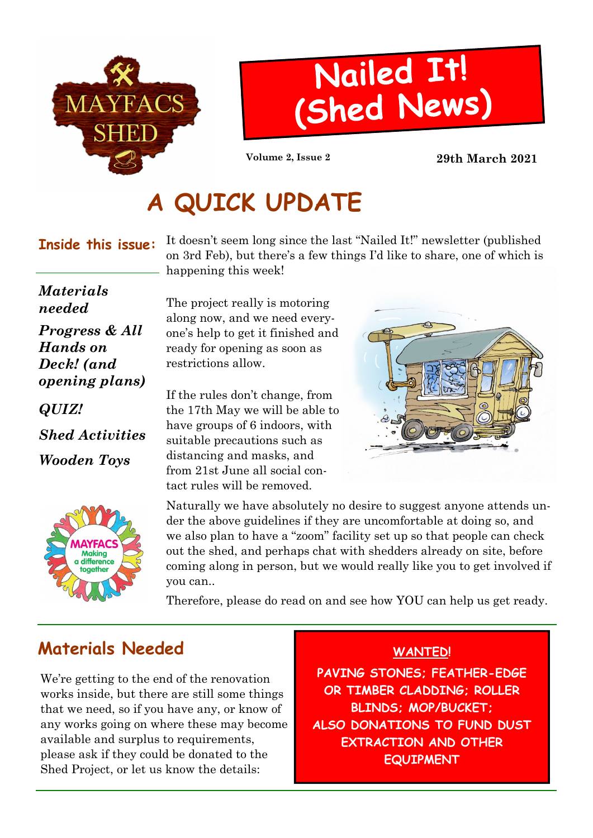



Volume 2, Issue 2 29th March 2021

# A QUICK UPDATE

#### Inside this issue:

It doesn't seem long since the last "Nailed It!" newsletter (published on 3rd Feb), but there's a few things I'd like to share, one of which is happening this week!

#### Materials needed

Progress & All Hands on Deck! (and opening plans)

QUIZ!

Shed Activities

Wooden Toys



The project really is motoring along now, and we need everyone's help to get it finished and ready for opening as soon as restrictions allow.

If the rules don't change, from the 17th May we will be able to have groups of 6 indoors, with suitable precautions such as distancing and masks, and from 21st June all social contact rules will be removed.



Naturally we have absolutely no desire to suggest anyone attends under the above guidelines if they are uncomfortable at doing so, and we also plan to have a "zoom" facility set up so that people can check out the shed, and perhaps chat with shedders already on site, before coming along in person, but we would really like you to get involved if you can..

Therefore, please do read on and see how YOU can help us get ready.

### Materials Needed

We're getting to the end of the renovation works inside, but there are still some things that we need, so if you have any, or know of any works going on where these may become available and surplus to requirements, please ask if they could be donated to the Shed Project, or let us know the details:

#### WANTED!

PAVING STONES; FEATHER-EDGE OR TIMBER CLADDING; ROLLER BLINDS; MOP/BUCKET; ALSO DONATIONS TO FUND DUST EXTRACTION AND OTHER **EQUIPMENT**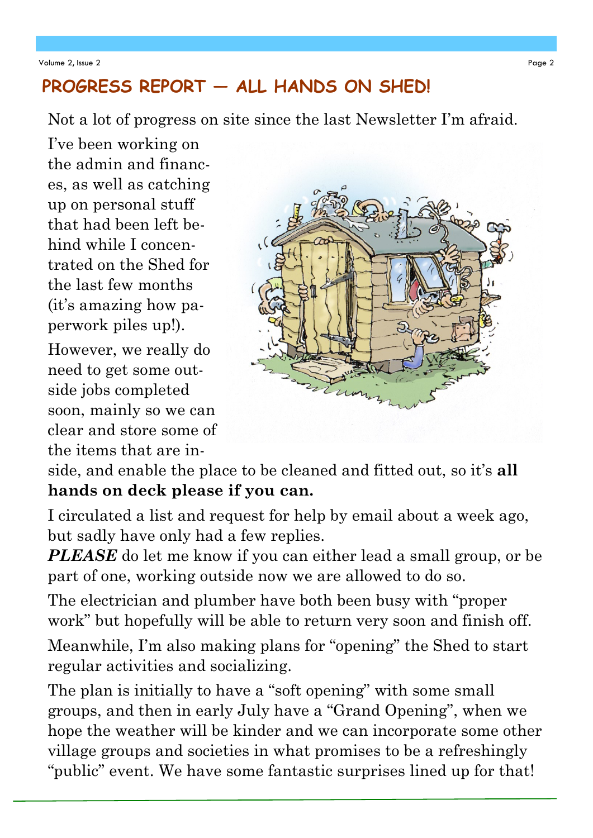### PROGRESS REPORT - ALL HANDS ON SHED!

Not a lot of progress on site since the last Newsletter I'm afraid.

I've been working on the admin and finances, as well as catching up on personal stuff that had been left behind while I concentrated on the Shed for the last few months (it's amazing how paperwork piles up!).

However, we really do need to get some outside jobs completed soon, mainly so we can clear and store some of the items that are in-



side, and enable the place to be cleaned and fitted out, so it's all hands on deck please if you can.

I circulated a list and request for help by email about a week ago, but sadly have only had a few replies.

PLEASE do let me know if you can either lead a small group, or be part of one, working outside now we are allowed to do so.

The electrician and plumber have both been busy with "proper work" but hopefully will be able to return very soon and finish off. Meanwhile, I'm also making plans for "opening" the Shed to start regular activities and socializing.

The plan is initially to have a "soft opening" with some small groups, and then in early July have a "Grand Opening", when we hope the weather will be kinder and we can incorporate some other village groups and societies in what promises to be a refreshingly "public" event. We have some fantastic surprises lined up for that!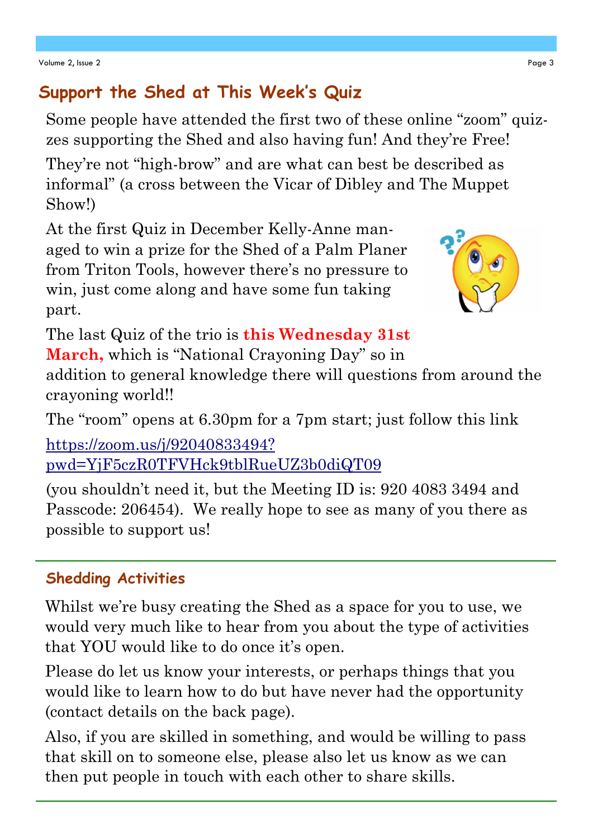# Support the Shed at This Week's Quiz

Some people have attended the first two of these online "zoom" quizzes supporting the Shed and also having fun! And they're Free!

They're not "high-brow" and are what can best be described as informal" (a cross between the Vicar of Dibley and The Muppet Show!)

At the first Quiz in December Kelly-Anne managed to win a prize for the Shed of a Palm Planer from Triton Tools, however there's no pressure to win, just come along and have some fun taking part.



The last Quiz of the trio is **this Wednesday 31st** 

March, which is "National Crayoning Day" so in

addition to general knowledge there will questions from around the crayoning world!!

The "room" opens at 6.30pm for a 7pm start; just follow this link

https://zoom.us/j/92040833494? pwd=YjF5czR0TFVHck9tblRueUZ3b0diQT09

(you shouldn't need it, but the Meeting ID is: 920 4083 3494 and Passcode: 206454). We really hope to see as many of you there as possible to support us!

### Shedding Activities

Whilst we're busy creating the Shed as a space for you to use, we would very much like to hear from you about the type of activities that YOU would like to do once it's open.

Please do let us know your interests, or perhaps things that you would like to learn how to do but have never had the opportunity (contact details on the back page).

Also, if you are skilled in something, and would be willing to pass that skill on to someone else, please also let us know as we can then put people in touch with each other to share skills.